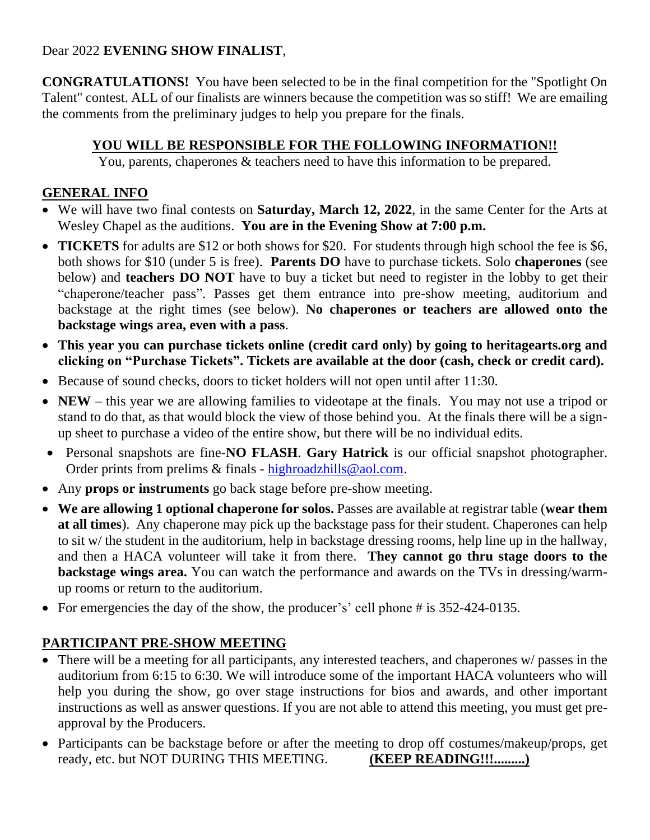### Dear 2022 **EVENING SHOW FINALIST**,

**CONGRATULATIONS!** You have been selected to be in the final competition for the "Spotlight On Talent" contest. ALL of our finalists are winners because the competition was so stiff! We are emailing the comments from the preliminary judges to help you prepare for the finals.

## **YOU WILL BE RESPONSIBLE FOR THE FOLLOWING INFORMATION!!**

You, parents, chaperones & teachers need to have this information to be prepared.

## **GENERAL INFO**

- We will have two final contests on **Saturday, March 12, 2022**, in the same Center for the Arts at Wesley Chapel as the auditions. **You are in the Evening Show at 7:00 p.m.**
- **TICKETS** for adults are \$12 or both shows for \$20. For students through high school the fee is \$6, both shows for \$10 (under 5 is free). **Parents DO** have to purchase tickets. Solo **chaperones** (see below) and **teachers DO NOT** have to buy a ticket but need to register in the lobby to get their "chaperone/teacher pass". Passes get them entrance into pre-show meeting, auditorium and backstage at the right times (see below). **No chaperones or teachers are allowed onto the backstage wings area, even with a pass**.
- **This year you can purchase tickets online (credit card only) by going to heritagearts.org and clicking on "Purchase Tickets". Tickets are available at the door (cash, check or credit card).**
- Because of sound checks, doors to ticket holders will not open until after 11:30.
- **NEW** this year we are allowing families to videotape at the finals. You may not use a tripod or stand to do that, as that would block the view of those behind you. At the finals there will be a signup sheet to purchase a video of the entire show, but there will be no individual edits.
- Personal snapshots are fine-**NO FLASH**. **Gary Hatrick** is our official snapshot photographer. Order prints from prelims & finals - [highroadzhills@aol.com.](mailto:highroadzhills@aol.com)
- Any **props or instruments** go back stage before pre-show meeting.
- **We are allowing 1 optional chaperone for solos.** Passes are available at registrar table (**wear them at all times**). Any chaperone may pick up the backstage pass for their student. Chaperones can help to sit w/ the student in the auditorium, help in backstage dressing rooms, help line up in the hallway, and then a HACA volunteer will take it from there. **They cannot go thru stage doors to the backstage wings area.** You can watch the performance and awards on the TVs in dressing/warmup rooms or return to the auditorium.
- For emergencies the day of the show, the producer's' cell phone # is 352-424-0135.

# **PARTICIPANT PRE-SHOW MEETING**

- There will be a meeting for all participants, any interested teachers, and chaperones w/ passes in the auditorium from 6:15 to 6:30. We will introduce some of the important HACA volunteers who will help you during the show, go over stage instructions for bios and awards, and other important instructions as well as answer questions. If you are not able to attend this meeting, you must get preapproval by the Producers.
- Participants can be backstage before or after the meeting to drop off costumes/makeup/props, get ready, etc. but NOT DURING THIS MEETING. **(KEEP READING!!!.........)**